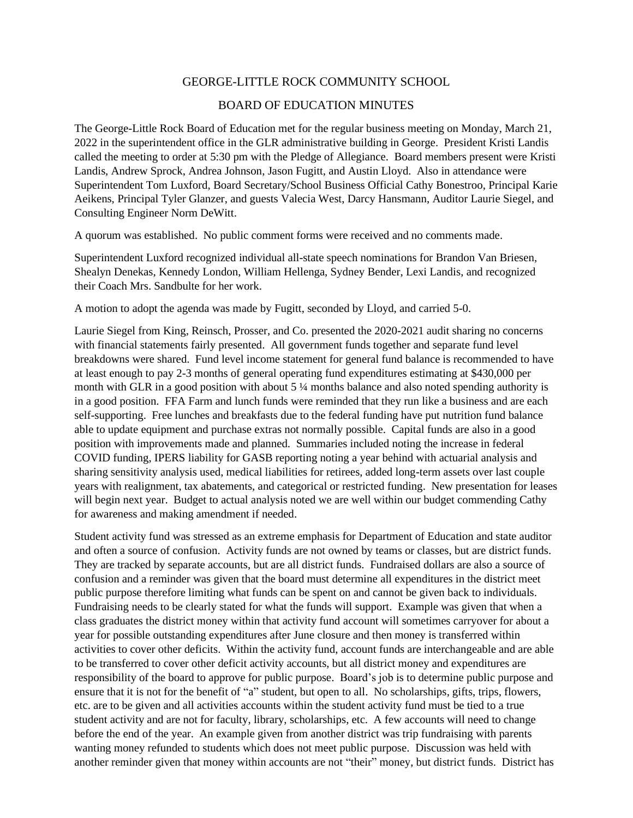## GEORGE-LITTLE ROCK COMMUNITY SCHOOL

## BOARD OF EDUCATION MINUTES

The George-Little Rock Board of Education met for the regular business meeting on Monday, March 21, 2022 in the superintendent office in the GLR administrative building in George. President Kristi Landis called the meeting to order at 5:30 pm with the Pledge of Allegiance. Board members present were Kristi Landis, Andrew Sprock, Andrea Johnson, Jason Fugitt, and Austin Lloyd. Also in attendance were Superintendent Tom Luxford, Board Secretary/School Business Official Cathy Bonestroo, Principal Karie Aeikens, Principal Tyler Glanzer, and guests Valecia West, Darcy Hansmann, Auditor Laurie Siegel, and Consulting Engineer Norm DeWitt.

A quorum was established. No public comment forms were received and no comments made.

Superintendent Luxford recognized individual all-state speech nominations for Brandon Van Briesen, Shealyn Denekas, Kennedy London, William Hellenga, Sydney Bender, Lexi Landis, and recognized their Coach Mrs. Sandbulte for her work.

A motion to adopt the agenda was made by Fugitt, seconded by Lloyd, and carried 5-0.

Laurie Siegel from King, Reinsch, Prosser, and Co. presented the 2020-2021 audit sharing no concerns with financial statements fairly presented. All government funds together and separate fund level breakdowns were shared. Fund level income statement for general fund balance is recommended to have at least enough to pay 2-3 months of general operating fund expenditures estimating at \$430,000 per month with GLR in a good position with about 5 ¼ months balance and also noted spending authority is in a good position. FFA Farm and lunch funds were reminded that they run like a business and are each self-supporting. Free lunches and breakfasts due to the federal funding have put nutrition fund balance able to update equipment and purchase extras not normally possible. Capital funds are also in a good position with improvements made and planned. Summaries included noting the increase in federal COVID funding, IPERS liability for GASB reporting noting a year behind with actuarial analysis and sharing sensitivity analysis used, medical liabilities for retirees, added long-term assets over last couple years with realignment, tax abatements, and categorical or restricted funding. New presentation for leases will begin next year. Budget to actual analysis noted we are well within our budget commending Cathy for awareness and making amendment if needed.

Student activity fund was stressed as an extreme emphasis for Department of Education and state auditor and often a source of confusion. Activity funds are not owned by teams or classes, but are district funds. They are tracked by separate accounts, but are all district funds. Fundraised dollars are also a source of confusion and a reminder was given that the board must determine all expenditures in the district meet public purpose therefore limiting what funds can be spent on and cannot be given back to individuals. Fundraising needs to be clearly stated for what the funds will support. Example was given that when a class graduates the district money within that activity fund account will sometimes carryover for about a year for possible outstanding expenditures after June closure and then money is transferred within activities to cover other deficits. Within the activity fund, account funds are interchangeable and are able to be transferred to cover other deficit activity accounts, but all district money and expenditures are responsibility of the board to approve for public purpose. Board's job is to determine public purpose and ensure that it is not for the benefit of "a" student, but open to all. No scholarships, gifts, trips, flowers, etc. are to be given and all activities accounts within the student activity fund must be tied to a true student activity and are not for faculty, library, scholarships, etc. A few accounts will need to change before the end of the year. An example given from another district was trip fundraising with parents wanting money refunded to students which does not meet public purpose. Discussion was held with another reminder given that money within accounts are not "their" money, but district funds. District has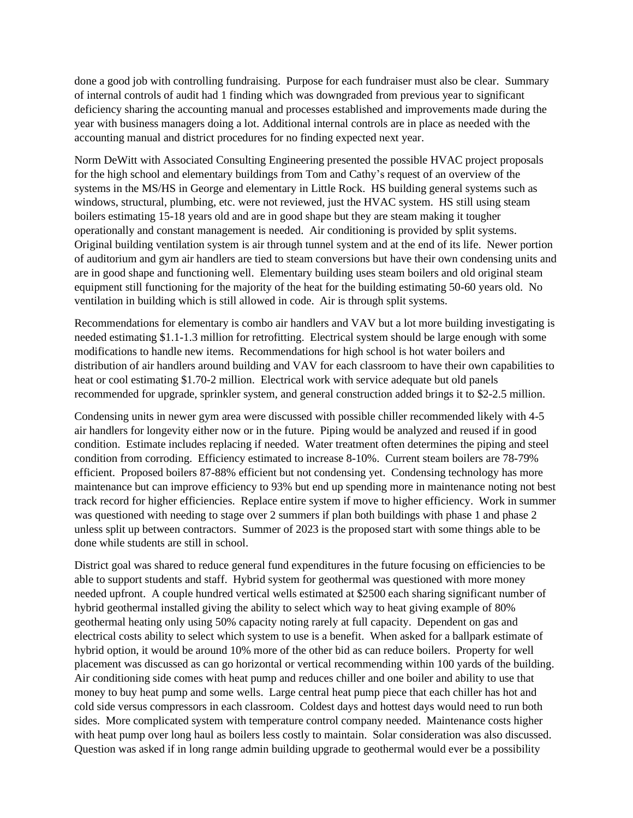done a good job with controlling fundraising. Purpose for each fundraiser must also be clear. Summary of internal controls of audit had 1 finding which was downgraded from previous year to significant deficiency sharing the accounting manual and processes established and improvements made during the year with business managers doing a lot. Additional internal controls are in place as needed with the accounting manual and district procedures for no finding expected next year.

Norm DeWitt with Associated Consulting Engineering presented the possible HVAC project proposals for the high school and elementary buildings from Tom and Cathy's request of an overview of the systems in the MS/HS in George and elementary in Little Rock. HS building general systems such as windows, structural, plumbing, etc. were not reviewed, just the HVAC system. HS still using steam boilers estimating 15-18 years old and are in good shape but they are steam making it tougher operationally and constant management is needed. Air conditioning is provided by split systems. Original building ventilation system is air through tunnel system and at the end of its life. Newer portion of auditorium and gym air handlers are tied to steam conversions but have their own condensing units and are in good shape and functioning well. Elementary building uses steam boilers and old original steam equipment still functioning for the majority of the heat for the building estimating 50-60 years old. No ventilation in building which is still allowed in code. Air is through split systems.

Recommendations for elementary is combo air handlers and VAV but a lot more building investigating is needed estimating \$1.1-1.3 million for retrofitting. Electrical system should be large enough with some modifications to handle new items. Recommendations for high school is hot water boilers and distribution of air handlers around building and VAV for each classroom to have their own capabilities to heat or cool estimating \$1.70-2 million. Electrical work with service adequate but old panels recommended for upgrade, sprinkler system, and general construction added brings it to \$2-2.5 million.

Condensing units in newer gym area were discussed with possible chiller recommended likely with 4-5 air handlers for longevity either now or in the future. Piping would be analyzed and reused if in good condition. Estimate includes replacing if needed. Water treatment often determines the piping and steel condition from corroding. Efficiency estimated to increase 8-10%. Current steam boilers are 78-79% efficient. Proposed boilers 87-88% efficient but not condensing yet. Condensing technology has more maintenance but can improve efficiency to 93% but end up spending more in maintenance noting not best track record for higher efficiencies. Replace entire system if move to higher efficiency. Work in summer was questioned with needing to stage over 2 summers if plan both buildings with phase 1 and phase 2 unless split up between contractors. Summer of 2023 is the proposed start with some things able to be done while students are still in school.

District goal was shared to reduce general fund expenditures in the future focusing on efficiencies to be able to support students and staff. Hybrid system for geothermal was questioned with more money needed upfront. A couple hundred vertical wells estimated at \$2500 each sharing significant number of hybrid geothermal installed giving the ability to select which way to heat giving example of 80% geothermal heating only using 50% capacity noting rarely at full capacity. Dependent on gas and electrical costs ability to select which system to use is a benefit. When asked for a ballpark estimate of hybrid option, it would be around 10% more of the other bid as can reduce boilers. Property for well placement was discussed as can go horizontal or vertical recommending within 100 yards of the building. Air conditioning side comes with heat pump and reduces chiller and one boiler and ability to use that money to buy heat pump and some wells. Large central heat pump piece that each chiller has hot and cold side versus compressors in each classroom. Coldest days and hottest days would need to run both sides. More complicated system with temperature control company needed. Maintenance costs higher with heat pump over long haul as boilers less costly to maintain. Solar consideration was also discussed. Question was asked if in long range admin building upgrade to geothermal would ever be a possibility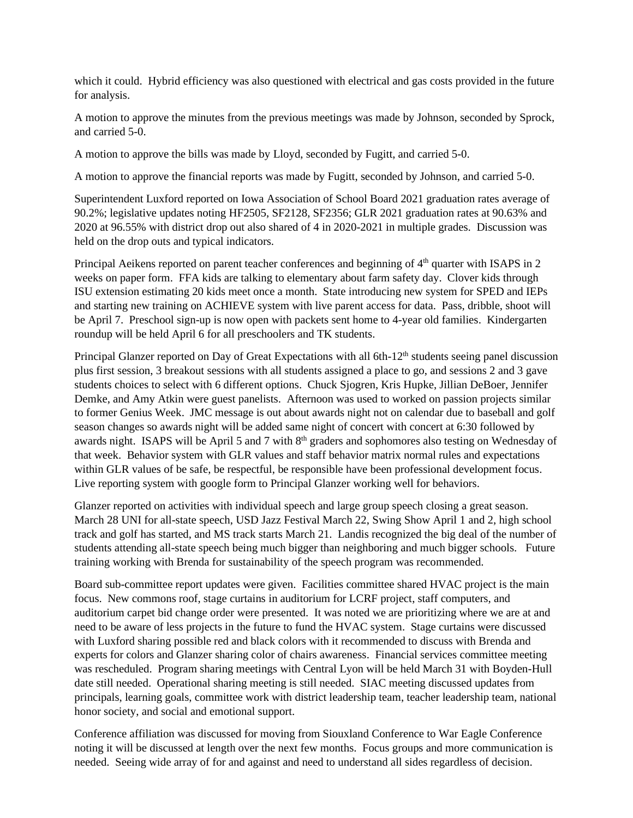which it could. Hybrid efficiency was also questioned with electrical and gas costs provided in the future for analysis.

A motion to approve the minutes from the previous meetings was made by Johnson, seconded by Sprock, and carried 5-0.

A motion to approve the bills was made by Lloyd, seconded by Fugitt, and carried 5-0.

A motion to approve the financial reports was made by Fugitt, seconded by Johnson, and carried 5-0.

Superintendent Luxford reported on Iowa Association of School Board 2021 graduation rates average of 90.2%; legislative updates noting HF2505, SF2128, SF2356; GLR 2021 graduation rates at 90.63% and 2020 at 96.55% with district drop out also shared of 4 in 2020-2021 in multiple grades. Discussion was held on the drop outs and typical indicators.

Principal Aeikens reported on parent teacher conferences and beginning of 4<sup>th</sup> quarter with ISAPS in 2 weeks on paper form. FFA kids are talking to elementary about farm safety day. Clover kids through ISU extension estimating 20 kids meet once a month. State introducing new system for SPED and IEPs and starting new training on ACHIEVE system with live parent access for data. Pass, dribble, shoot will be April 7. Preschool sign-up is now open with packets sent home to 4-year old families. Kindergarten roundup will be held April 6 for all preschoolers and TK students.

Principal Glanzer reported on Day of Great Expectations with all  $6th-12<sup>th</sup>$  students seeing panel discussion plus first session, 3 breakout sessions with all students assigned a place to go, and sessions 2 and 3 gave students choices to select with 6 different options. Chuck Sjogren, Kris Hupke, Jillian DeBoer, Jennifer Demke, and Amy Atkin were guest panelists. Afternoon was used to worked on passion projects similar to former Genius Week. JMC message is out about awards night not on calendar due to baseball and golf season changes so awards night will be added same night of concert with concert at 6:30 followed by awards night. ISAPS will be April 5 and 7 with 8<sup>th</sup> graders and sophomores also testing on Wednesday of that week. Behavior system with GLR values and staff behavior matrix normal rules and expectations within GLR values of be safe, be respectful, be responsible have been professional development focus. Live reporting system with google form to Principal Glanzer working well for behaviors.

Glanzer reported on activities with individual speech and large group speech closing a great season. March 28 UNI for all-state speech, USD Jazz Festival March 22, Swing Show April 1 and 2, high school track and golf has started, and MS track starts March 21. Landis recognized the big deal of the number of students attending all-state speech being much bigger than neighboring and much bigger schools. Future training working with Brenda for sustainability of the speech program was recommended.

Board sub-committee report updates were given. Facilities committee shared HVAC project is the main focus. New commons roof, stage curtains in auditorium for LCRF project, staff computers, and auditorium carpet bid change order were presented. It was noted we are prioritizing where we are at and need to be aware of less projects in the future to fund the HVAC system. Stage curtains were discussed with Luxford sharing possible red and black colors with it recommended to discuss with Brenda and experts for colors and Glanzer sharing color of chairs awareness. Financial services committee meeting was rescheduled. Program sharing meetings with Central Lyon will be held March 31 with Boyden-Hull date still needed. Operational sharing meeting is still needed. SIAC meeting discussed updates from principals, learning goals, committee work with district leadership team, teacher leadership team, national honor society, and social and emotional support.

Conference affiliation was discussed for moving from Siouxland Conference to War Eagle Conference noting it will be discussed at length over the next few months. Focus groups and more communication is needed. Seeing wide array of for and against and need to understand all sides regardless of decision.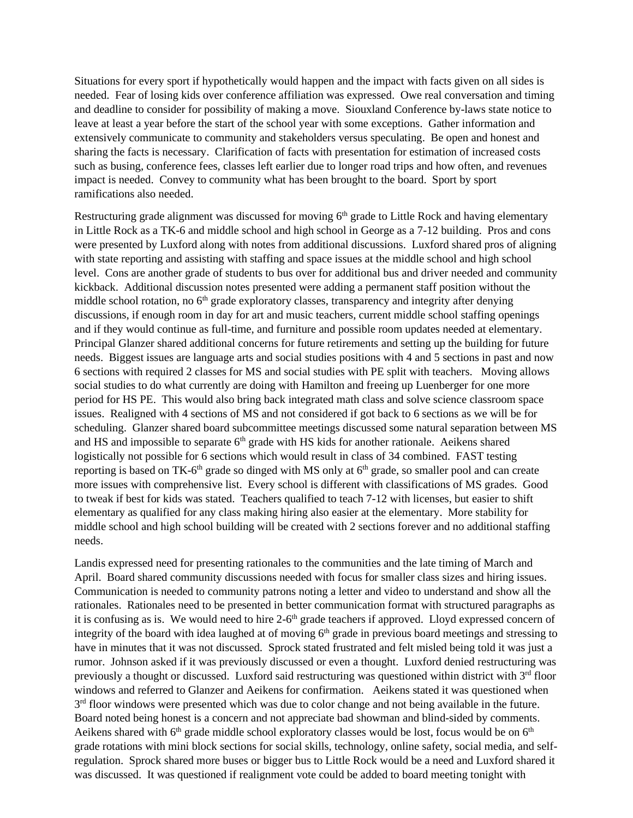Situations for every sport if hypothetically would happen and the impact with facts given on all sides is needed. Fear of losing kids over conference affiliation was expressed. Owe real conversation and timing and deadline to consider for possibility of making a move. Siouxland Conference by-laws state notice to leave at least a year before the start of the school year with some exceptions. Gather information and extensively communicate to community and stakeholders versus speculating. Be open and honest and sharing the facts is necessary. Clarification of facts with presentation for estimation of increased costs such as busing, conference fees, classes left earlier due to longer road trips and how often, and revenues impact is needed. Convey to community what has been brought to the board. Sport by sport ramifications also needed.

Restructuring grade alignment was discussed for moving  $6<sup>th</sup>$  grade to Little Rock and having elementary in Little Rock as a TK-6 and middle school and high school in George as a 7-12 building. Pros and cons were presented by Luxford along with notes from additional discussions. Luxford shared pros of aligning with state reporting and assisting with staffing and space issues at the middle school and high school level. Cons are another grade of students to bus over for additional bus and driver needed and community kickback. Additional discussion notes presented were adding a permanent staff position without the middle school rotation, no 6<sup>th</sup> grade exploratory classes, transparency and integrity after denying discussions, if enough room in day for art and music teachers, current middle school staffing openings and if they would continue as full-time, and furniture and possible room updates needed at elementary. Principal Glanzer shared additional concerns for future retirements and setting up the building for future needs. Biggest issues are language arts and social studies positions with 4 and 5 sections in past and now 6 sections with required 2 classes for MS and social studies with PE split with teachers. Moving allows social studies to do what currently are doing with Hamilton and freeing up Luenberger for one more period for HS PE. This would also bring back integrated math class and solve science classroom space issues. Realigned with 4 sections of MS and not considered if got back to 6 sections as we will be for scheduling. Glanzer shared board subcommittee meetings discussed some natural separation between MS and HS and impossible to separate  $6<sup>th</sup>$  grade with HS kids for another rationale. Aeikens shared logistically not possible for 6 sections which would result in class of 34 combined. FAST testing reporting is based on TK-6<sup>th</sup> grade so dinged with MS only at  $6<sup>th</sup>$  grade, so smaller pool and can create more issues with comprehensive list. Every school is different with classifications of MS grades. Good to tweak if best for kids was stated. Teachers qualified to teach 7-12 with licenses, but easier to shift elementary as qualified for any class making hiring also easier at the elementary. More stability for middle school and high school building will be created with 2 sections forever and no additional staffing needs.

Landis expressed need for presenting rationales to the communities and the late timing of March and April. Board shared community discussions needed with focus for smaller class sizes and hiring issues. Communication is needed to community patrons noting a letter and video to understand and show all the rationales. Rationales need to be presented in better communication format with structured paragraphs as it is confusing as is. We would need to hire 2-6<sup>th</sup> grade teachers if approved. Lloyd expressed concern of integrity of the board with idea laughed at of moving  $6<sup>th</sup>$  grade in previous board meetings and stressing to have in minutes that it was not discussed. Sprock stated frustrated and felt misled being told it was just a rumor. Johnson asked if it was previously discussed or even a thought. Luxford denied restructuring was previously a thought or discussed. Luxford said restructuring was questioned within district with 3<sup>rd</sup> floor windows and referred to Glanzer and Aeikens for confirmation. Aeikens stated it was questioned when  $3<sup>rd</sup>$  floor windows were presented which was due to color change and not being available in the future. Board noted being honest is a concern and not appreciate bad showman and blind-sided by comments. Aeikens shared with  $6<sup>th</sup>$  grade middle school exploratory classes would be lost, focus would be on  $6<sup>th</sup>$ grade rotations with mini block sections for social skills, technology, online safety, social media, and selfregulation. Sprock shared more buses or bigger bus to Little Rock would be a need and Luxford shared it was discussed. It was questioned if realignment vote could be added to board meeting tonight with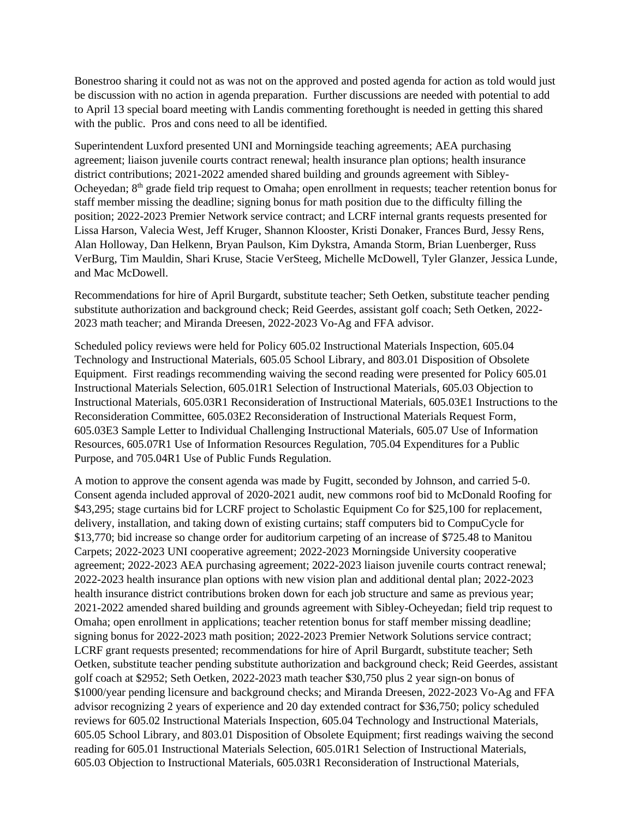Bonestroo sharing it could not as was not on the approved and posted agenda for action as told would just be discussion with no action in agenda preparation. Further discussions are needed with potential to add to April 13 special board meeting with Landis commenting forethought is needed in getting this shared with the public. Pros and cons need to all be identified.

Superintendent Luxford presented UNI and Morningside teaching agreements; AEA purchasing agreement; liaison juvenile courts contract renewal; health insurance plan options; health insurance district contributions; 2021-2022 amended shared building and grounds agreement with Sibley-Ocheyedan; 8<sup>th</sup> grade field trip request to Omaha; open enrollment in requests; teacher retention bonus for staff member missing the deadline; signing bonus for math position due to the difficulty filling the position; 2022-2023 Premier Network service contract; and LCRF internal grants requests presented for Lissa Harson, Valecia West, Jeff Kruger, Shannon Klooster, Kristi Donaker, Frances Burd, Jessy Rens, Alan Holloway, Dan Helkenn, Bryan Paulson, Kim Dykstra, Amanda Storm, Brian Luenberger, Russ VerBurg, Tim Mauldin, Shari Kruse, Stacie VerSteeg, Michelle McDowell, Tyler Glanzer, Jessica Lunde, and Mac McDowell.

Recommendations for hire of April Burgardt, substitute teacher; Seth Oetken, substitute teacher pending substitute authorization and background check; Reid Geerdes, assistant golf coach; Seth Oetken, 2022- 2023 math teacher; and Miranda Dreesen, 2022-2023 Vo-Ag and FFA advisor.

Scheduled policy reviews were held for Policy 605.02 Instructional Materials Inspection, 605.04 Technology and Instructional Materials, 605.05 School Library, and 803.01 Disposition of Obsolete Equipment. First readings recommending waiving the second reading were presented for Policy 605.01 Instructional Materials Selection, 605.01R1 Selection of Instructional Materials, 605.03 Objection to Instructional Materials, 605.03R1 Reconsideration of Instructional Materials, 605.03E1 Instructions to the Reconsideration Committee, 605.03E2 Reconsideration of Instructional Materials Request Form, 605.03E3 Sample Letter to Individual Challenging Instructional Materials, 605.07 Use of Information Resources, 605.07R1 Use of Information Resources Regulation, 705.04 Expenditures for a Public Purpose, and 705.04R1 Use of Public Funds Regulation.

A motion to approve the consent agenda was made by Fugitt, seconded by Johnson, and carried 5-0. Consent agenda included approval of 2020-2021 audit, new commons roof bid to McDonald Roofing for \$43,295; stage curtains bid for LCRF project to Scholastic Equipment Co for \$25,100 for replacement, delivery, installation, and taking down of existing curtains; staff computers bid to CompuCycle for \$13,770; bid increase so change order for auditorium carpeting of an increase of \$725.48 to Manitou Carpets; 2022-2023 UNI cooperative agreement; 2022-2023 Morningside University cooperative agreement; 2022-2023 AEA purchasing agreement; 2022-2023 liaison juvenile courts contract renewal; 2022-2023 health insurance plan options with new vision plan and additional dental plan; 2022-2023 health insurance district contributions broken down for each job structure and same as previous year; 2021-2022 amended shared building and grounds agreement with Sibley-Ocheyedan; field trip request to Omaha; open enrollment in applications; teacher retention bonus for staff member missing deadline; signing bonus for 2022-2023 math position; 2022-2023 Premier Network Solutions service contract; LCRF grant requests presented; recommendations for hire of April Burgardt, substitute teacher; Seth Oetken, substitute teacher pending substitute authorization and background check; Reid Geerdes, assistant golf coach at \$2952; Seth Oetken, 2022-2023 math teacher \$30,750 plus 2 year sign-on bonus of \$1000/year pending licensure and background checks; and Miranda Dreesen, 2022-2023 Vo-Ag and FFA advisor recognizing 2 years of experience and 20 day extended contract for \$36,750; policy scheduled reviews for 605.02 Instructional Materials Inspection, 605.04 Technology and Instructional Materials, 605.05 School Library, and 803.01 Disposition of Obsolete Equipment; first readings waiving the second reading for 605.01 Instructional Materials Selection, 605.01R1 Selection of Instructional Materials, 605.03 Objection to Instructional Materials, 605.03R1 Reconsideration of Instructional Materials,